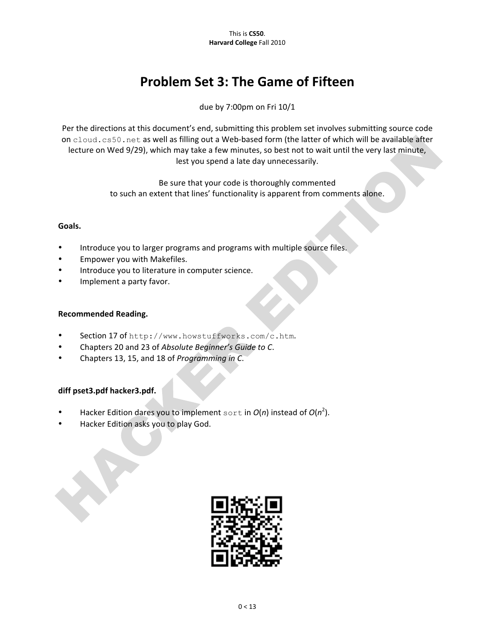# **Problem Set 3: The Game of Fifteen**

due by 7:00pm on Fri 10/1

Per the directions at this document's end, submitting this problem set involves submitting source code on cloud.cs50.net as well as filling out a Web-based form (the latter of which will be available after lecture on Wed 9/29), which may take a few minutes, so best not to wait until the very last minute, lest you spend a late day unnecessarily.

> Be sure that your code is thoroughly commented to such an extent that lines' functionality is apparent from comments alone.

## **Goals.**

- Introduce you to larger programs and programs with multiple source files.
- Empower you with Makefiles.
- Introduce you to literature in computer science.
- Implement a party favor.

## **Recommended Reading.**

- Section 17 of http://www.howstuffworks.com/c.htm.
- Chapters 20 and 23 of *Absolute Beginner's Guide to C*.
- Chapters%13,%15,%and%18%of%*Programming)in)C*.

## **diff\*pset3.pdf\*hacker3.pdf.**

- Hacker Edition dares you to implement sort in  $O(n)$  instead of  $O(n^2)$ .
- Hacker Edition asks you to play God.

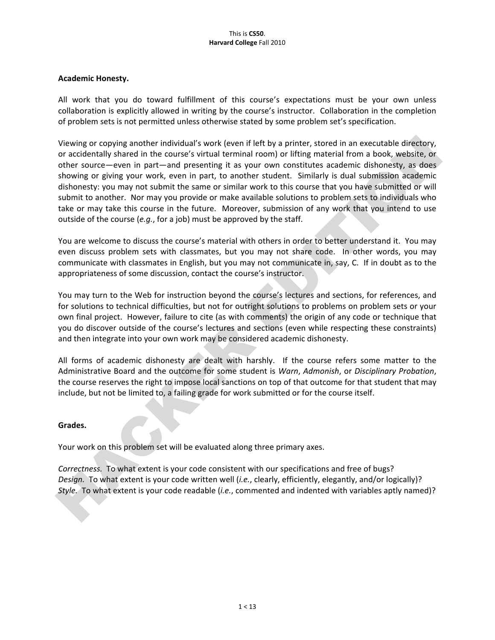#### This%is%**CS50**. **Harvard College Fall 2010**

## Academic Honesty.

All work that you do toward fulfillment of this course's expectations must be your own unless collaboration is explicitly allowed in writing by the course's instructor. Collaboration in the completion of problem sets is not permitted unless otherwise stated by some problem set's specification.

Viewing or copying another individual's work (even if left by a printer, stored in an executable directory, or accidentally shared in the course's virtual terminal room) or lifting material from a book, website, or other source—even in part—and presenting it as your own constitutes academic dishonesty, as does showing or giving your work, even in part, to another student. Similarly is dual submission academic dishonesty: you may not submit the same or similar work to this course that you have submitted or will submit to another. Nor may you provide or make available solutions to problem sets to individuals who take or may take this course in the future. Moreover, submission of any work that you intend to use outside of the course ( $e.g.,$  for a job) must be approved by the staff.

You are welcome to discuss the course's material with others in order to better understand it. You may even discuss problem sets with classmates, but you may not share code. In other words, you may communicate with classmates in English, but you may not communicate in, say, C. If in doubt as to the appropriateness of some discussion, contact the course's instructor.

You may turn to the Web for instruction beyond the course's lectures and sections, for references, and for solutions to technical difficulties, but not for outright solutions to problems on problem sets or your own final project. However, failure to cite (as with comments) the origin of any code or technique that you do discover outside of the course's lectures and sections (even while respecting these constraints) and then integrate into your own work may be considered academic dishonesty.

All forms of academic dishonesty are dealt with harshly. If the course refers some matter to the Administrative%Board%and%the%outcome%for%some%student%is%*Warn*,%*Admonish*,%or%*Disciplinary)Probation*,% the course reserves the right to impose local sanctions on top of that outcome for that student that may include, but not be limited to, a failing grade for work submitted or for the course itself.

### **Grades.**

Your work on this problem set will be evaluated along three primary axes.

**Correctness.** To what extent is your code consistent with our specifications and free of bugs? Design. To what extent is your code written well (*i.e.*, clearly, efficiently, elegantly, and/or logically)? *Style.* To what extent is your code readable (*i.e.*, commented and indented with variables aptly named)?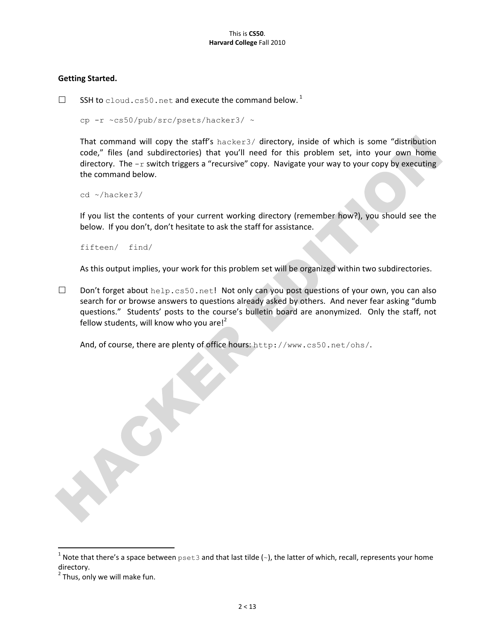## **Getting Started.**

 $\square$  SSH to cloud.cs50.net and execute the command below.<sup>1</sup>

cp -r ~cs50/pub/src/psets/hacker3/ ~

That command will copy the staff's hacker3/ directory, inside of which is some "distribution code," files (and subdirectories) that you'll need for this problem set, into your own home directory. The  $-r$  switch triggers a "recursive" copy. Navigate your way to your copy by executing the command below.

cd ~/hacker3/

If you list the contents of your current working directory (remember how?), you should see the below. If you don't, don't hesitate to ask the staff for assistance.

fifteen/ find/

As this output implies, your work for this problem set will be organized within two subdirectories.

Don't forget about help.cs50.net! Not only can you post questions of your own, you can also search for or browse answers to questions already asked by others. And never fear asking "dumb questions." Students' posts to the course's bulletin board are anonymized. Only the staff, not fellow students, will know who you are!<sup>2</sup>

And, of course, there are plenty of office hours: http://www.cs50.net/ohs/.

whote that there's a space between  $p$ set3 and that last tilde (~), the latter of which, recall, represents your home directory.

 $2$  Thus, only we will make fun.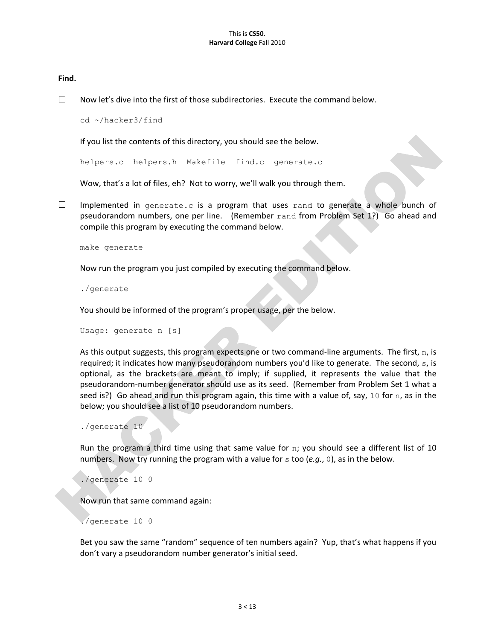#### **Find.**

 $\Box$  Now let's dive into the first of those subdirectories. Execute the command below.

cd ~/hacker3/find

If you list the contents of this directory, you should see the below.

helpers.c helpers.h Makefile find.c generate.c

Wow, that's a lot of files, eh? Not to worry, we'll walk you through them.

 $\Box$  Implemented in generate.c is a program that uses rand to generate a whole bunch of pseudorandom numbers, one per line. (Remember rand from Problem Set 1?) Go ahead and compile this program by executing the command below.

make generate

Now run the program you just compiled by executing the command below.

./generate

You should be informed of the program's proper usage, per the below.

```
Usage: generate n [s]
```
As this output suggests, this program expects one or two command-line arguments. The first, n, is required; it indicates how many pseudorandom numbers you'd like to generate. The second, s, is optional, as the brackets are meant to imply; if supplied, it represents the value that the pseudorandom-number generator should use as its seed. (Remember from Problem Set 1 what a seed is?) Go ahead and run this program again, this time with a value of, say, 10 for n, as in the below; you should see a list of 10 pseudorandom numbers.

```
./generate 10
```
Run the program a third time using that same value for n; you should see a different list of 10 numbers. Now try running the program with a value for  $s$  too (*e.g.*, 0), as in the below.

```
./generate 10 0
```
Now run that same command again:

./generate 10 0

Bet you saw the same "random" sequence of ten numbers again? Yup, that's what happens if you don't vary a pseudorandom number generator's initial seed.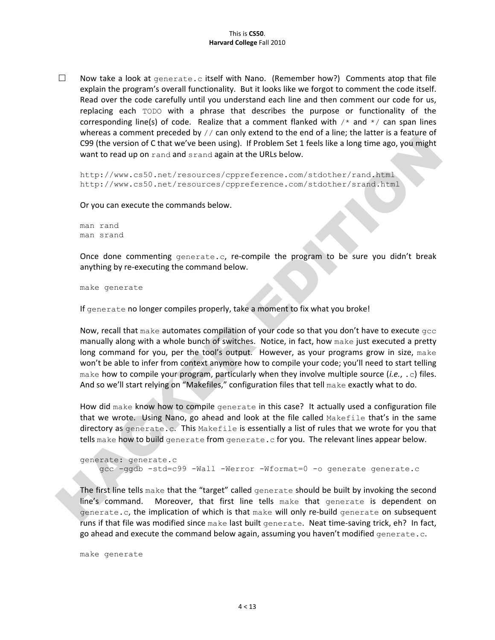$\Box$  Now take a look at generate.c itself with Nano. (Remember how?) Comments atop that file explain the program's overall functionality. But it looks like we forgot to comment the code itself. Read over the code carefully until you understand each line and then comment our code for us, replacing each TODO with a phrase that describes the purpose or functionality of the corresponding line(s) of code. Realize that a comment flanked with  $\frac{1}{x}$  and  $\frac{x}{x}$  can span lines whereas a comment preceded by  $//$  can only extend to the end of a line; the latter is a feature of C99 (the version of C that we've been using). If Problem Set 1 feels like a long time ago, you might want to read up on rand and srand again at the URLs below.

http://www.cs50.net/resources/cppreference.com/stdother/rand.html http://www.cs50.net/resources/cppreference.com/stdother/srand.html

Or you can execute the commands below.

man rand man srand

Once done commenting  $q$ enerate.c, re-compile the program to be sure you didn't break anything by re-executing the command below.

make generate

If generate no longer compiles properly, take a moment to fix what you broke!

Now, recall that make automates compilation of your code so that you don't have to execute  $qcc$ manually along with a whole bunch of switches. Notice, in fact, how make just executed a pretty long command for you, per the tool's output. However, as your programs grow in size, make won't be able to infer from context anymore how to compile your code; you'll need to start telling make how to compile your program, particularly when they involve multiple source  $(i.e., c)$  files. And so we'll start relying on "Makefiles," configuration files that tell make exactly what to do.

How did make know how to compile generate in this case? It actually used a configuration file that we wrote. Using Nano, go ahead and look at the file called Makefile that's in the same directory as generate.c. This Makefile is essentially a list of rules that we wrote for you that tells make how to build generate from generate.c for you. The relevant lines appear below.

```
generate: generate.c
    gcc -ggdb -std=c99 -Wall -Werror -Wformat=0 -o generate generate.c
```
The first line tells make that the "target" called generate should be built by invoking the second line's command. Moreover, that first line tells make that generate is dependent on generate.c, the implication of which is that make will only re-build generate on subsequent runs if that file was modified since make last built generate. Neat time-saving trick, eh? In fact, go ahead and execute the command below again, assuming you haven't modified generate.c.

make generate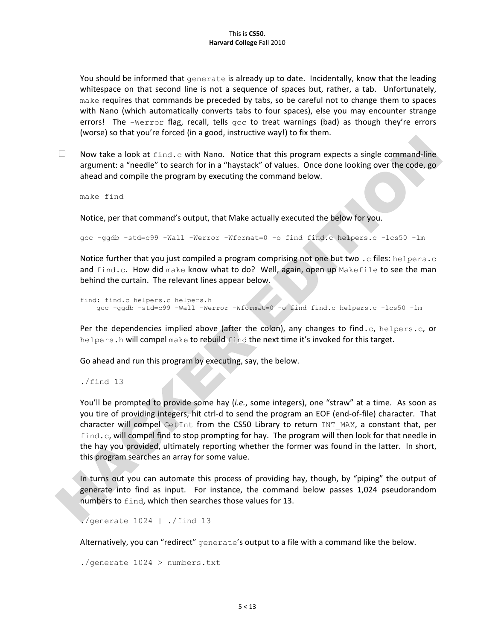You should be informed that generate is already up to date. Incidentally, know that the leading whitespace on that second line is not a sequence of spaces but, rather, a tab. Unfortunately,  $make$  requires that commands be preceded by tabs, so be careful not to change them to spaces with Nano (which automatically converts tabs to four spaces), else you may encounter strange errors! The  $-Werror$  flag, recall, tells  $qcc$  to treat warnings (bad) as though they're errors (worse) so that you're forced (in a good, instructive way!) to fix them.

 $\Box$  Now take a look at  $find.c$  with Nano. Notice that this program expects a single command-line argument: a "needle" to search for in a "haystack" of values. Once done looking over the code, go ahead and compile the program by executing the command below.

make find

Notice, per that command's output, that Make actually executed the below for you.

gcc -ggdb -std=c99 -Wall -Werror -Wformat=0 -o find find.c helpers.c -lcs50 -lm

Notice further that you just compiled a program comprising not one but two . c files: helpers.c and find.c. How did make know what to do? Well, again, open up Makefile to see the man behind the curtain. The relevant lines appear below.

```
find: find.c helpers.c helpers.h
   gcc -ggdb -std=c99 -Wall -Werror -Wformat=0 -o find find.c helpers.c -lcs50 -lm
```
Per the dependencies implied above (after the colon), any changes to find.c, helpers.c, or helpers.h will compel make to rebuild find the next time it's invoked for this target.

Go ahead and run this program by executing, say, the below.

./find 13

You'll be prompted to provide some hay *(i.e.*, some integers), one "straw" at a time. As soon as you tire of providing integers, hit ctrl-d to send the program an EOF (end-of-file) character. That character will compel GetInt from the CS50 Library to return INT MAX, a constant that, per find.c, will compel find to stop prompting for hay. The program will then look for that needle in the hay you provided, ultimately reporting whether the former was found in the latter. In short, this program searches an array for some value.

In turns out you can automate this process of providing hay, though, by "piping" the output of generate into find as input. For instance, the command below passes 1,024 pseudorandom numbers to find, which then searches those values for 13.

./generate 1024 | ./find 13

Alternatively, you can "redirect" generate's output to a file with a command like the below.

./generate 1024 > numbers.txt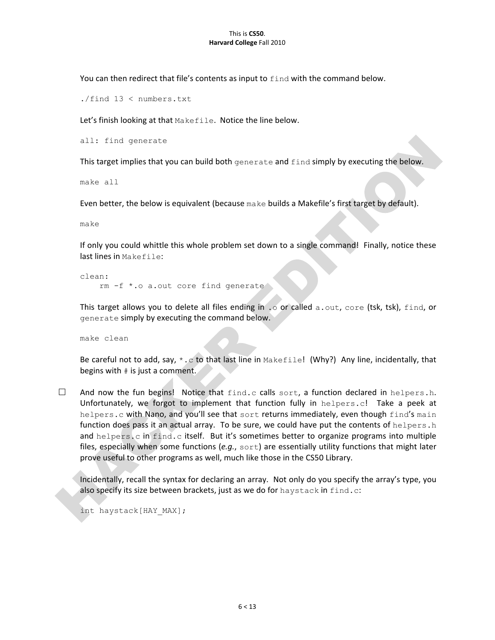#### This is CS50. **Harvard College Fall 2010**

You can then redirect that file's contents as input to find with the command below.

./find 13 < numbers.txt

Let's finish looking at that Makefile. Notice the line below.

all: find generate

This target implies that you can build both generate and  $\operatorname{find}$  simply by executing the below.

make all

Even better, the below is equivalent (because make builds a Makefile's first target by default).

make

If only you could whittle this whole problem set down to a single command! Finally, notice these last lines in Makefile:

clean: rm -f \*.o a.out core find generate

This target allows you to delete all files ending in . o or called a.out, core (tsk, tsk),  $find$ , or generate simply by executing the command below.

make clean

Be careful not to add, say,  $*$ .c to that last line in Makefile! (Why?) Any line, incidentally, that begins with  $#$  is just a comment.

 $\Box$  And now the fun begins! Notice that  $find.c$  calls sort, a function declared in helpers.h. Unfortunately, we forgot to implement that function fully in  $helpers.c!$  Take a peek at helpers.c with Nano, and you'll see that sort returns immediately, even though find's main function does pass it an actual array. To be sure, we could have put the contents of  $h$ elpers.h and helpers.c in find.c itself. But it's sometimes better to organize programs into multiple files, especially when some functions (e.g., sort) are essentially utility functions that might later prove useful to other programs as well, much like those in the CS50 Library.

Incidentally, recall the syntax for declaring an array. Not only do you specify the array's type, you also specify its size between brackets, just as we do for  $h$ aystack in  $find.c$ :

int haystack[HAY\_MAX];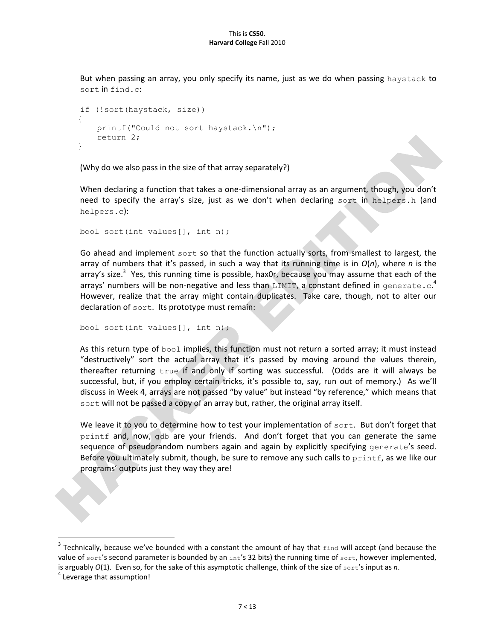But when passing an array, you only specify its name, just as we do when passing haystack to sort in find.c:

```
if (!sort(haystack, size))
{
    printf("Could not sort haystack.\n");
    return 2;
}
```
(Why do we also pass in the size of that array separately?)

When declaring a function that takes a one-dimensional array as an argument, though, you don't need to specify the array's size, just as we don't when declaring sort in helpers.h (and helpers.c):

```
bool sort(int values[], int n);
```
Go ahead and implement sort so that the function actually sorts, from smallest to largest, the array of numbers that it's passed, in such a way that its running time is in  $O(n)$ , where *n* is the array's size.<sup>3</sup> Yes, this running time is possible, hax0r, because you may assume that each of the arrays' numbers will be non-negative and less than LIMIT, a constant defined in generate.c.<sup>4</sup> However, realize that the array might contain duplicates. Take care, though, not to alter our declaration of sort. Its prototype must remain:

```
bool sort(int values[], int n);
```
As this return type of  $bool$  implies, this function must not return a sorted array; it must instead "destructively" sort the actual array that it's passed by moving around the values therein, thereafter returning true if and only if sorting was successful. (Odds are it will always be successful, but, if you employ certain tricks, it's possible to, say, run out of memory.) As we'll discuss in Week 4, arrays are not passed "by value" but instead "by reference," which means that sort will not be passed a copy of an array but, rather, the original array itself.

We leave it to you to determine how to test your implementation of sort. But don't forget that printf and, now, gdb are your friends. And don't forget that you can generate the same sequence of pseudorandom numbers again and again by explicitly specifying generate's seed. Before you ultimately submit, though, be sure to remove any such calls to  $print$ , as we like our programs' outputs just they way they are!

 $\,$  %  $\,$  %  $\,$  %  $\,$  %  $\,$  %  $\,$  %  $\,$  %  $\,$  %  $\,$  %  $\,$  %  $\,$  %  $\,$  %  $\,$  %  $\,$  %  $\,$  %  $\,$  %  $\,$  %  $\,$  %  $\,$  %  $\,$  %  $\,$  %  $\,$  %  $\,$  %  $\,$  %  $\,$  %  $\,$  %  $\,$  %  $\,$  %  $\,$  %  $\,$  %  $\,$  %  $\,$ 

<sup>&</sup>lt;sup>3</sup> Technically, because we've bounded with a constant the amount of hay that  $\epsilon$ ind will accept (and because the value of sort's second parameter is bounded by an  $int's$  32 bits) the running time of sort, however implemented, is arguably  $O(1)$ . Even so, for the sake of this asymptotic challenge, think of the size of sort's input as *n*.

 $4$  Leverage that assumption!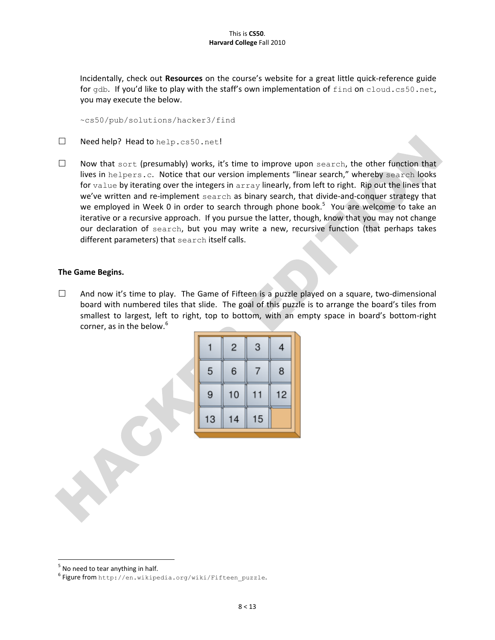Incidentally, check out **Resources** on the course's website for a great little quick-reference guide for gdb. If you'd like to play with the staff's own implementation of find on cloud.cs50.net, you may execute the below.

~cs50/pub/solutions/hacker3/find

- $\square$  Need help? Head to help.cs50.net!
- $\Box$  Now that sort (presumably) works, it's time to improve upon search, the other function that lives in helpers.c. Notice that our version implements "linear search," whereby search looks for  $value$  by iterating over the integers in  $array$  linearly, from left to right. Rip out the lines that we've written and re-implement search as binary search, that divide-and-conquer strategy that we employed in Week 0 in order to search through phone book.<sup>5</sup> You are welcome to take an iterative or a recursive approach. If you pursue the latter, though, know that you may not change our declaration of search, but you may write a new, recursive function (that perhaps takes different parameters) that search itself calls.

## **The Game Begins.**

 $\Box$  And now it's time to play. The Game of Fifteen is a puzzle played on a square, two-dimensional board with numbered tiles that slide. The goal of this puzzle is to arrange the board's tiles from smallest to largest, left to right, top to bottom, with an empty space in board's bottom-right corner, as in the below. $6$ 

|    | 2  | 3  | 4  |
|----|----|----|----|
| 5  | 6  |    | 8  |
| 9  | 10 | 11 | 12 |
| 13 | 14 | 15 |    |

 $\frac{1}{10}$  No need to tear anything in half.

<sup>&</sup>lt;sup>6</sup> Figure from http://en.wikipedia.org/wiki/Fifteen\_puzzle.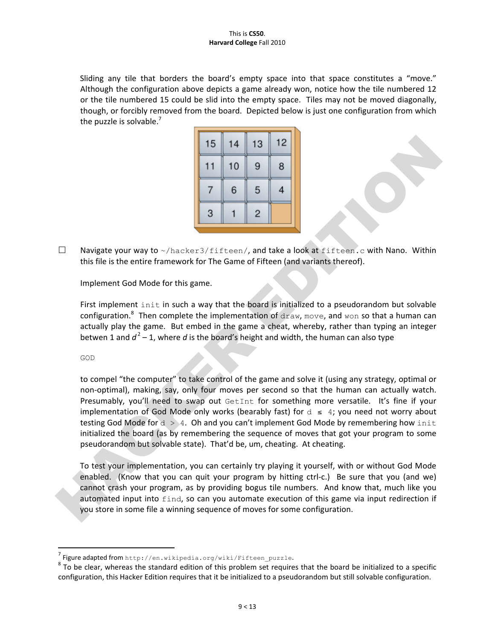#### This%is%**CS50**. **Harvard College Fall 2010**

Sliding any tile that borders the board's empty space into that space constitutes a "move." Although the configuration above depicts a game already won, notice how the tile numbered 12 or the tile numbered 15 could be slid into the empty space. Tiles may not be moved diagonally, though, or forcibly removed from the board. Depicted below is just one configuration from which the puzzle is solvable.<sup>7</sup>

| 15 | 14 | 13 | 12 |
|----|----|----|----|
| 11 | 10 | 9  | 8  |
|    | 6  | 5  | 4  |
| 3  |    | 2  |    |

 $\Box$  Navigate your way to ~/hacker3/fifteen/, and take a look at fifteen.c with Nano. Within this file is the entire framework for The Game of Fifteen (and variants thereof).

Implement God Mode for this game.

First implement init in such a way that the board is initialized to a pseudorandom but solvable configuration.<sup>8</sup> Then complete the implementation of draw, move, and won so that a human can actually play the game. But embed in the game a cheat, whereby, rather than typing an integer betwen 1 and  $d^2$  – 1, where *d* is the board's height and width, the human can also type

GOD

to compel "the computer" to take control of the game and solve it (using any strategy, optimal or non-optimal), making, say, only four moves per second so that the human can actually watch. Presumably, you'll need to swap out  $G$ etInt for something more versatile. It's fine if your implementation of God Mode only works (bearably fast) for  $d \leq 4$ ; you need not worry about testing God Mode for  $d > 4$ . Oh and you can't implement God Mode by remembering how init initialized the board (as by remembering the sequence of moves that got your program to some pseudorandom but solvable state). That'd be, um, cheating. At cheating.

To test your implementation, you can certainly try playing it yourself, with or without God Mode enabled. (Know that you can quit your program by hitting ctrl-c.) Be sure that you (and we) cannot crash your program, as by providing bogus tile numbers. And know that, much like you automated input into find, so can you automate execution of this game via input redirection if you store in some file a winning sequence of moves for some configuration.

 $\,$  %  $\,$  %  $\,$  %  $\,$  %  $\,$  %  $\,$  %  $\,$  %  $\,$  %  $\,$  %  $\,$  %  $\,$  %  $\,$  %  $\,$  %  $\,$  %  $\,$  %  $\,$  %  $\,$  %  $\,$  %  $\,$  %  $\,$  %  $\,$  %  $\,$  %  $\,$  %  $\,$  %  $\,$  %  $\,$  %  $\,$  %  $\,$  %  $\,$  %  $\,$  %  $\,$  %  $\,$ 

 $^7$  Figure adapted from http://en.wikipedia.org/wiki/Fifteen\_puzzle.

 $8$  To be clear, whereas the standard edition of this problem set requires that the board be initialized to a specific configuration, this Hacker Edition requires that it be initialized to a pseudorandom but still solvable configuration.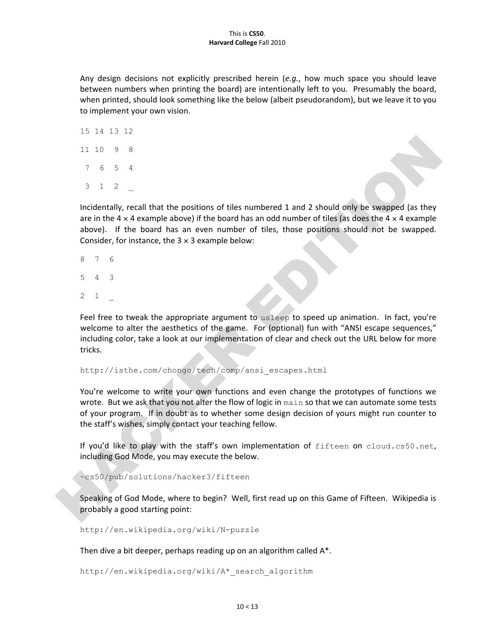#### This%is%**CS50**. **Harvard College Fall 2010**

Any design decisions not explicitly prescribed herein (*e.g.*, how much space you should leave between numbers when printing the board) are intentionally left to you. Presumably the board, when printed, should look something like the below (albeit pseudorandom), but we leave it to you to implement your own vision.

Incidentally, recall that the positions of tiles numbered 1 and 2 should only be swapped (as they are in the  $4 \times 4$  example above) if the board has an odd number of tiles (as does the  $4 \times 4$  example above). If the board has an even number of tiles, those positions should not be swapped. Consider, for instance, the  $3 \times 3$  example below:

- 8 7 6
- 5 4 3
- 2 1 \_

Feel free to tweak the appropriate argument to usleep to speed up animation. In fact, you're welcome to alter the aesthetics of the game. For (optional) fun with "ANSI escape sequences," including color, take a look at our implementation of clear and check out the URL below for more tricks.

http://isthe.com/chongo/tech/comp/ansi\_escapes.html

You're welcome to write your own functions and even change the prototypes of functions we wrote. But we ask that you not alter the flow of logic in main so that we can automate some tests of your program. If in doubt as to whether some design decision of yours might run counter to the staff's wishes, simply contact your teaching fellow.

If you'd like to play with the staff's own implementation of  $f$ ifteen on cloud.cs50.net, including God Mode, you may execute the below.

~cs50/pub/solutions/hacker3/fifteen

Speaking of God Mode, where to begin? Well, first read up on this Game of Fifteen. Wikipedia is probably a good starting point:

http://en.wikipedia.org/wiki/N-puzzle

Then dive a bit deeper, perhaps reading up on an algorithm called  $A^*$ .

http://en.wikipedia.org/wiki/A\*\_search\_algorithm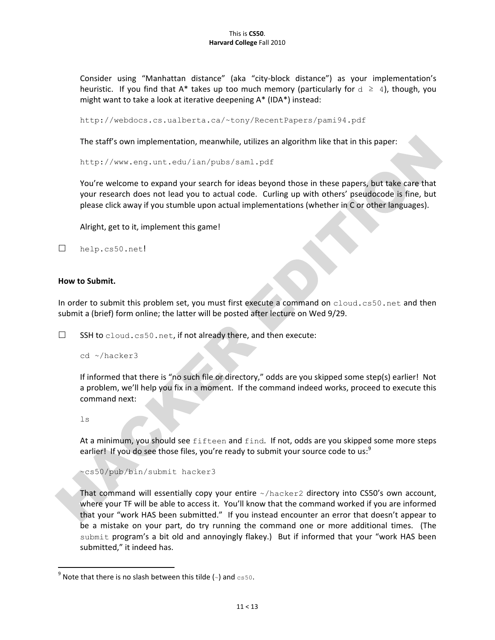Consider using "Manhattan distance" (aka "city-block distance") as your implementation's heuristic. If you find that A\* takes up too much memory (particularly for  $d \geq 4$ ), though, you might want to take a look at iterative deepening  $A^*$  (IDA\*) instead:

http://webdocs.cs.ualberta.ca/~tony/RecentPapers/pami94.pdf

The staff's own implementation, meanwhile, utilizes an algorithm like that in this paper:

http://www.eng.unt.edu/ian/pubs/saml.pdf

You're welcome to expand your search for ideas beyond those in these papers, but take care that your research does not lead you to actual code. Curling up with others' pseudocode is fine, but please click away if you stumble upon actual implementations (whether in C or other languages).

Alright, get to it, implement this game!

```
 help.cs50.net!
```
#### **How to Submit.**

In order to submit this problem set, you must first execute a command on cloud.cs50.net and then submit a (brief) form online; the latter will be posted after lecture on Wed 9/29.

 $\square$  SSH to cloud.cs50.net, if not already there, and then execute:

```
cd ~/hacker3
```
If informed that there is "no such file or directory," odds are you skipped some step(s) earlier! Not a problem, we'll help you fix in a moment. If the command indeed works, proceed to execute this command next:

#### $\frac{1}{2}$

At a minimum, you should see fifteen and find. If not, odds are you skipped some more steps earlier! If you do see those files, you're ready to submit your source code to us:<sup>9</sup>

~cs50/pub/bin/submit hacker3

That command will essentially copy your entire  $~\gamma$  hacker2 directory into CS50's own account, where your TF will be able to access it. You'll know that the command worked if you are informed that your "work HAS been submitted." If you instead encounter an error that doesn't appear to be a mistake on your part, do try running the command one or more additional times. (The submit program's a bit old and annoyingly flakey.) But if informed that your "work HAS been submitted," it indeed has.

 $\,$  %  $\,$  %  $\,$  %  $\,$  %  $\,$  %  $\,$  %  $\,$  %  $\,$  %  $\,$  %  $\,$  %  $\,$  %  $\,$  %  $\,$  %  $\,$  %  $\,$  %  $\,$  %  $\,$  %  $\,$  %  $\,$  %  $\,$  %  $\,$  %  $\,$  %  $\,$  %  $\,$  %  $\,$  %  $\,$  %  $\,$  %  $\,$  %  $\,$  %  $\,$  %  $\,$  %  $\,$ 

 $^9$  Note that there is no slash between this tilde (~) and  $c$ s50.